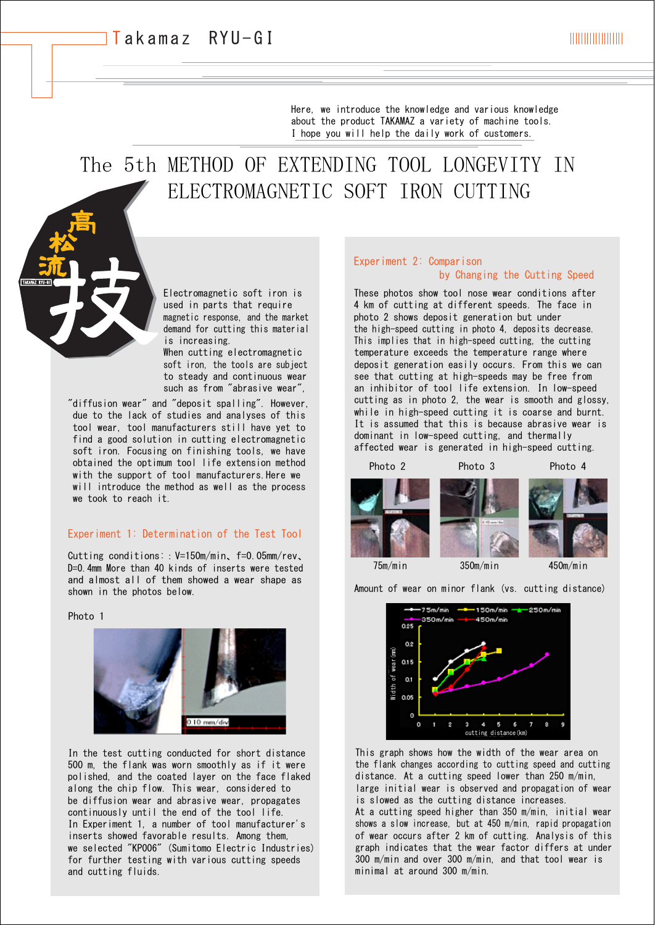Here, we introduce the knowledge and various knowledge about the product TAKAMAZ a variety of machine tools. I hope you will help the daily work of customers.

# The 5th METHOD OF EXTENDING TOOL LONGEVITY IN ELECTROMAGNETIC SOFT IRON CUTTING

Electromagnetic soft iron is used in parts that require magnetic response, and the market demand for cutting this material is increasing.

When cutting electromagnetic soft iron, the tools are subject to steady and continuous wear such as from "abrasive wear".

"diffusion wear" and "deposit spalling". However, due to the lack of studies and analyses of this tool wear, tool manufacturers still have yet to find a good solution in cutting electromagnetic soft iron. Focusing on finishing tools, we have obtained the optimum tool life extension method with the support of tool manufacturers. Here we will introduce the method as well as the process we took to reach it.

#### Experiment 1: Determination of the Test Tool

Cutting conditions::V=150m/min、f=0.05mm/rev、 D=0.4mm More than 40 kinds of inserts were tested and almost all of them showed a wear shape as shown in the photos below.

Photo 1



In the test cutting conducted for short distance 500 m, the flank was worn smoothly as if it were polished, and the coated layer on the face flaked along the chip flow. This wear, considered to be diffusion wear and abrasive wear, propagates continuously until the end of the tool life. In Experiment 1, a number of tool manufacturer's inserts showed favorable results. Among them, we selected "KP006" (Sumitomo Electric Industries) for further testing with various cutting speeds and cutting fluids.

#### Experiment 2: Comparison by Changing the Cutting Speed

These photos show tool nose wear conditions after 4 km of cutting at different speeds. The face in photo 2 shows deposit generation but under the high-speed cutting in photo 4, deposits decrease. This implies that in high-speed cutting, the cutting temperature exceeds the temperature range where deposit generation easily occurs. From this we can see that cutting at high-speeds may be free from an inhibitor of tool life extension. In low-speed cutting as in photo 2, the wear is smooth and glossy, while in high-speed cutting it is coarse and burnt. It is assumed that this is because abrasive wear is dominant in low-speed cutting, and thermally affected wear is generated in high-speed cutting.



Amount of wear on minor flank (vs. cutting distance)



This graph shows how the width of the wear area on the flank changes according to cutting speed and cutting distance. At a cutting speed lower than 250 m/min, large initial wear is observed and propagation of wear is slowed as the cutting distance increases.

At a cutting speed higher than 350 m/min, initial wear shows a slow increase, but at 450 m/min, rapid propagation of wear occurs after 2 km of cutting. Analysis of this graph indicates that the wear factor differs at under 300 m/min and over 300 m/min, and that tool wear is minimal at around 300 m/min.